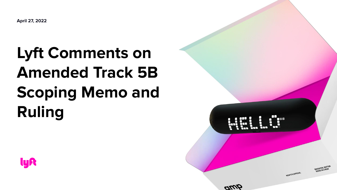**April 27, 2022**

## **Lyft Comments on Amended Track 5B Scoping Memo and Ruling**



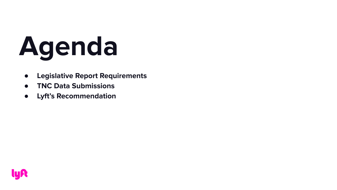# **Agenda**

- **● Legislative Report Requirements**
- **● TNC Data Submissions**
- **● Lyft's Recommendation**

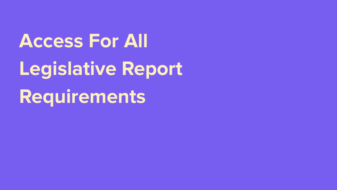**Access For All Legislative Report Requirements**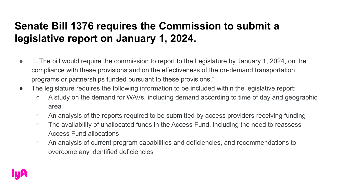#### **Senate Bill 1376 requires the Commission to submit a legislative report on January 1, 2024.**

- "...The bill would require the commission to report to the Legislature by January 1, 2024, on the compliance with these provisions and on the effectiveness of the on-demand transportation programs or partnerships funded pursuant to these provisions."
- The legislature requires the following information to be included within the legislative report:
	- A study on the demand for WAVs, including demand according to time of day and geographic area
	- An analysis of the reports required to be submitted by access providers receiving funding
	- The availability of unallocated funds in the Access Fund, including the need to reassess Access Fund allocations
	- An analysis of current program capabilities and deficiencies, and recommendations to overcome any identified deficiencies

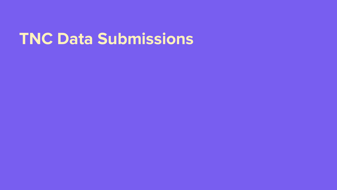### **TNC Data Submissions**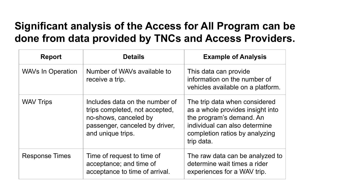#### **Significant analysis of the Access for All Program can be done from data provided by TNCs and Access Providers.**

| <b>Report</b>            | <b>Details</b>                                                                                                                                   | <b>Example of Analysis</b>                                                                                                                                                     |
|--------------------------|--------------------------------------------------------------------------------------------------------------------------------------------------|--------------------------------------------------------------------------------------------------------------------------------------------------------------------------------|
| <b>WAVs In Operation</b> | Number of WAVs available to<br>receive a trip.                                                                                                   | This data can provide<br>information on the number of<br>vehicles available on a platform.                                                                                     |
| <b>WAV Trips</b>         | Includes data on the number of<br>trips completed, not accepted,<br>no-shows, canceled by<br>passenger, canceled by driver,<br>and unique trips. | The trip data when considered<br>as a whole provides insight into<br>the program's demand. An<br>individual can also determine<br>completion ratios by analyzing<br>trip data. |
| <b>Response Times</b>    | Time of request to time of<br>acceptance; and time of<br>acceptance to time of arrival.                                                          | The raw data can be analyzed to<br>determine wait times a rider<br>experiences for a WAV trip.                                                                                 |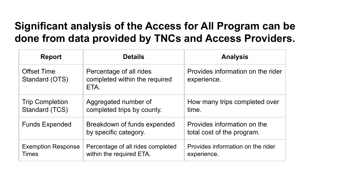#### **Significant analysis of the Access for All Program can be done from data provided by TNCs and Access Providers.**

| <b>Report</b>                             | <b>Details</b>                                                   | <b>Analysis</b>                                           |
|-------------------------------------------|------------------------------------------------------------------|-----------------------------------------------------------|
| <b>Offset Time</b><br>Standard (OTS)      | Percentage of all rides<br>completed within the required<br>ETA. | Provides information on the rider<br>experience.          |
| <b>Trip Completion</b><br>Standard (TCS)  | Aggregated number of<br>completed trips by county.               | How many trips completed over<br>time.                    |
| <b>Funds Expended</b>                     | Breakdown of funds expended<br>by specific category.             | Provides information on the<br>total cost of the program. |
| <b>Exemption Response</b><br><b>Times</b> | Percentage of all rides completed<br>within the required ETA.    | Provides information on the rider<br>experience.          |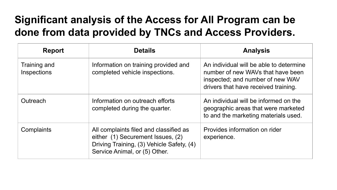#### **Significant analysis of the Access for All Program can be done from data provided by TNCs and Access Providers.**

| <b>Report</b>               | <b>Details</b>                                                                                                                                            | <b>Analysis</b>                                                                                                                                          |
|-----------------------------|-----------------------------------------------------------------------------------------------------------------------------------------------------------|----------------------------------------------------------------------------------------------------------------------------------------------------------|
| Training and<br>Inspections | Information on training provided and<br>completed vehicle inspections.                                                                                    | An individual will be able to determine<br>number of new WAVs that have been<br>inspected; and number of new WAV<br>drivers that have received training. |
| <b>Outreach</b>             | Information on outreach efforts<br>completed during the quarter.                                                                                          | An individual will be informed on the<br>geographic areas that were marketed<br>to and the marketing materials used.                                     |
| Complaints                  | All complaints filed and classified as<br>either (1) Securement Issues, (2)<br>Driving Training, (3) Vehicle Safety, (4)<br>Service Animal, or (5) Other. | Provides information on rider<br>experience.                                                                                                             |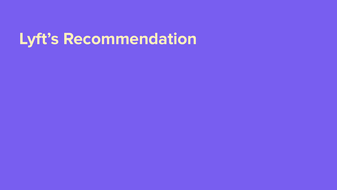## **Lyft's Recommendation**